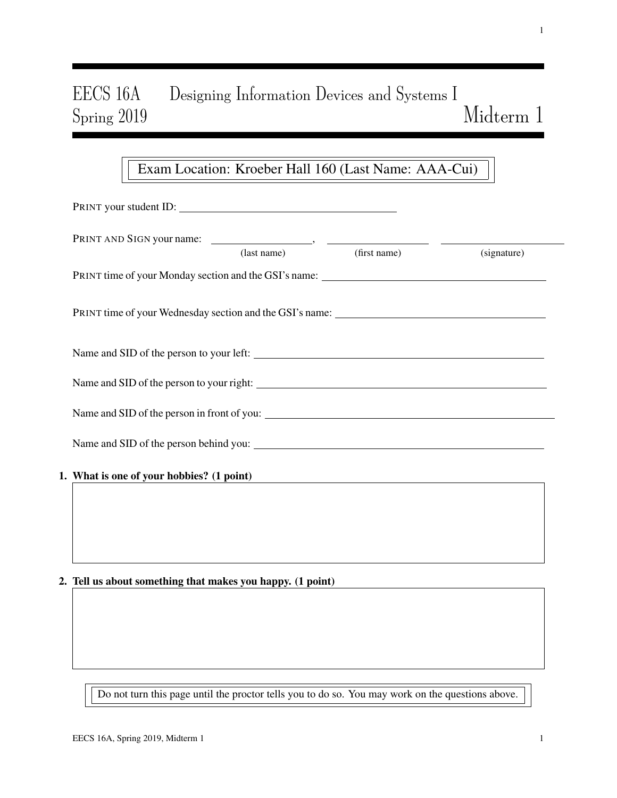# EECS 16A Designing Information Devices and Systems I Spring 2019 Midterm 1

## Exam Location: Kroeber Hall 160 (Last Name: AAA-Cui)

| PRINT AND SIGN your name: (last name) (first name) (s                             |                                                                                  | (signature) |
|-----------------------------------------------------------------------------------|----------------------------------------------------------------------------------|-------------|
|                                                                                   |                                                                                  |             |
|                                                                                   |                                                                                  |             |
| PRINT time of your Wednesday section and the GSI's name: ________________________ |                                                                                  |             |
|                                                                                   |                                                                                  |             |
|                                                                                   |                                                                                  |             |
|                                                                                   |                                                                                  |             |
|                                                                                   |                                                                                  |             |
|                                                                                   |                                                                                  |             |
|                                                                                   |                                                                                  |             |
|                                                                                   |                                                                                  |             |
| 1. What is one of your hobbies? (1 point)                                         |                                                                                  |             |
|                                                                                   |                                                                                  |             |
|                                                                                   |                                                                                  |             |
|                                                                                   |                                                                                  |             |
|                                                                                   | ,我们也不会有什么。""我们的人,我们也不会有什么?""我们的人,我们也不会有什么?""我们的人,我们的人,我们的人,我们的人,我们的人,我们的人,我们的人,我 |             |

Do not turn this page until the proctor tells you to do so. You may work on the questions above.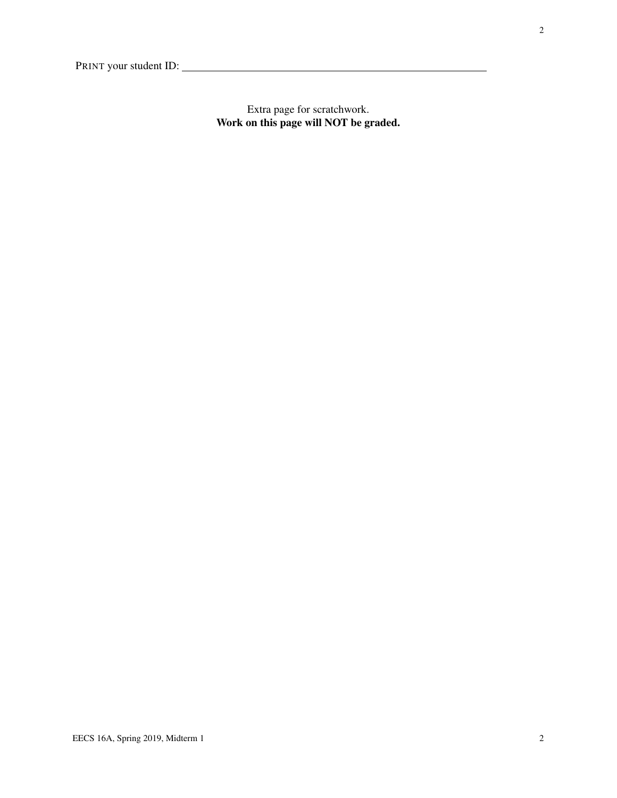Extra page for scratchwork. Work on this page will NOT be graded.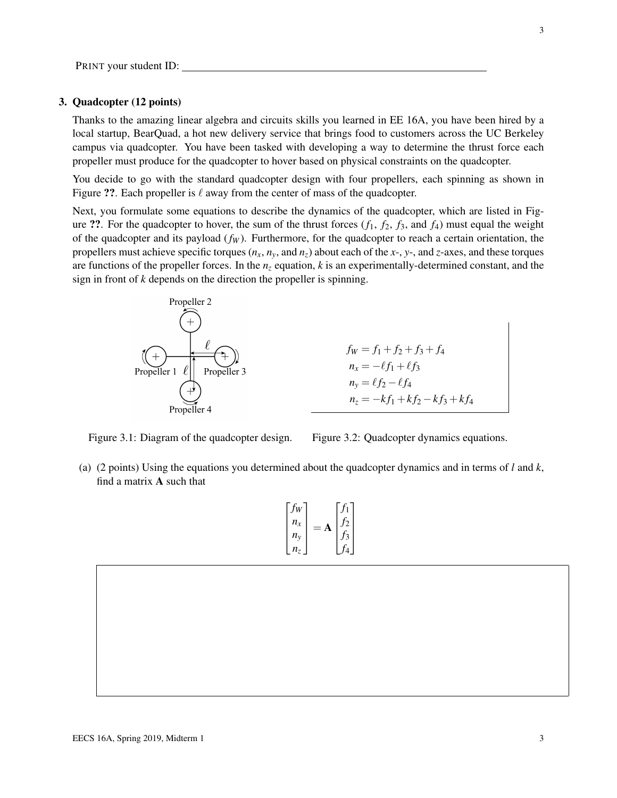#### 3. Quadcopter (12 points)

Thanks to the amazing linear algebra and circuits skills you learned in EE 16A, you have been hired by a local startup, BearQuad, a hot new delivery service that brings food to customers across the UC Berkeley campus via quadcopter. You have been tasked with developing a way to determine the thrust force each propeller must produce for the quadcopter to hover based on physical constraints on the quadcopter.

You decide to go with the standard quadcopter design with four propellers, each spinning as shown in Figure ??. Each propeller is  $\ell$  away from the center of mass of the quadcopter.

Next, you formulate some equations to describe the dynamics of the quadcopter, which are listed in Figure ??. For the quadcopter to hover, the sum of the thrust forces  $(f_1, f_2, f_3,$  and  $f_4$ ) must equal the weight of the quadcopter and its payload (*f<sup>W</sup>* ). Furthermore, for the quadcopter to reach a certain orientation, the propellers must achieve specific torques  $(n_x, n_y, \text{ and } n_z)$  about each of the *x*-, *y*-, and *z*-axes, and these torques are functions of the propeller forces. In the  $n<sub>z</sub>$  equation,  $k$  is an experimentally-determined constant, and the sign in front of *k* depends on the direction the propeller is spinning.



 $f_W = f_1 + f_2 + f_3 + f_4$  $n_x = -\ell f_1 + \ell f_3$  $n_y = \ell f_2 - \ell f_4$  $n_z = -kf_1 + kf_2 - kf_3 + kf_4$ 

Figure 3.1: Diagram of the quadcopter design.

Figure 3.2: Quadcopter dynamics equations.

(a) (2 points) Using the equations you determined about the quadcopter dynamics and in terms of *l* and *k*, find a matrix A such that

$$
\begin{bmatrix} f_W \\ n_x \\ n_y \\ n_z \end{bmatrix} = \mathbf{A} \begin{bmatrix} f_1 \\ f_2 \\ f_3 \\ f_4 \end{bmatrix}
$$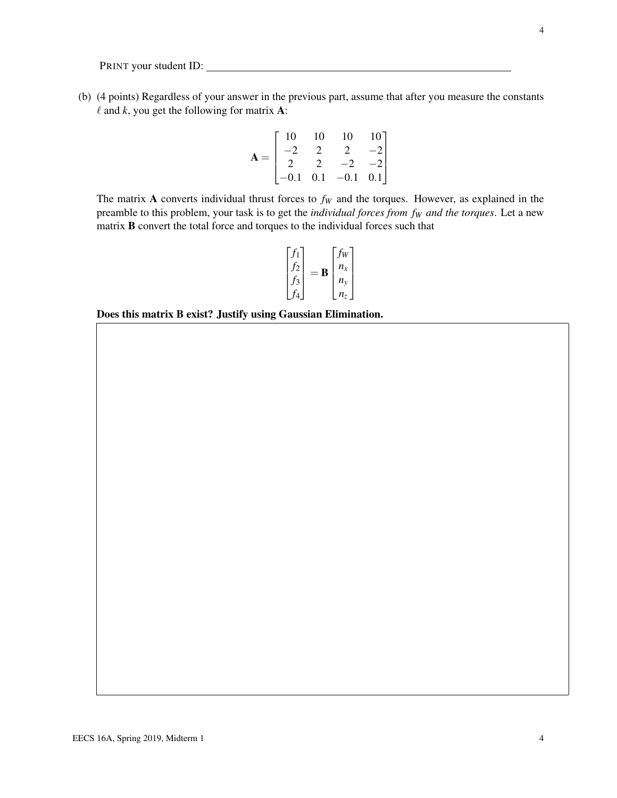(b) (4 points) Regardless of your answer in the previous part, assume that after you measure the constants  $\ell$  and  $k$ , you get the following for matrix **A**:

$$
\mathbf{A} = \begin{bmatrix} 10 & 10 & 10 & 10 \\ -2 & 2 & 2 & -2 \\ 2 & 2 & -2 & -2 \\ -0.1 & 0.1 & -0.1 & 0.1 \end{bmatrix}
$$

The matrix A converts individual thrust forces to  $f_W$  and the torques. However, as explained in the preamble to this problem, your task is to get the *individual forces from f<sup>W</sup> and the torques*. Let a new matrix B convert the total force and torques to the individual forces such that

$$
\begin{bmatrix} f_1 \\ f_2 \\ f_3 \\ f_4 \end{bmatrix} = \mathbf{B} \begin{bmatrix} f_W \\ n_x \\ n_y \\ n_z \end{bmatrix}
$$

Does this matrix B exist? Justify using Gaussian Elimination.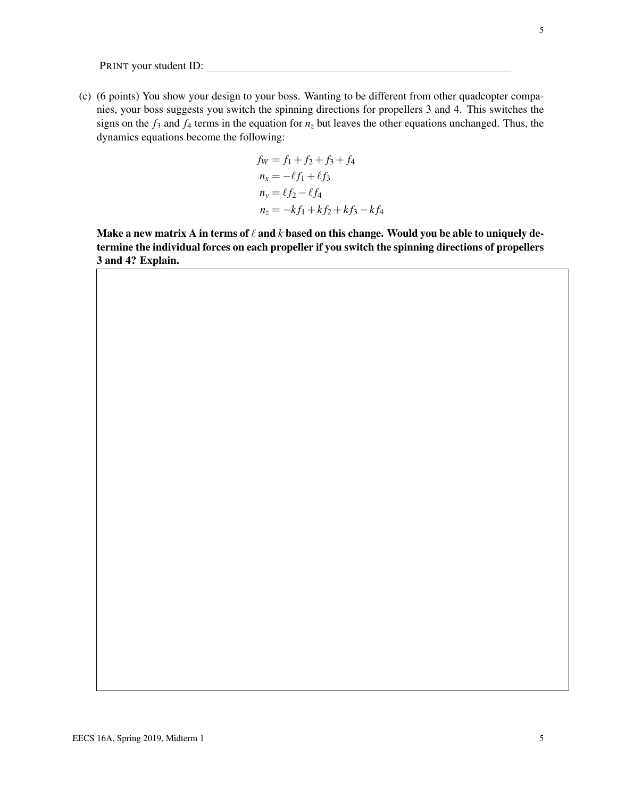(c) (6 points) You show your design to your boss. Wanting to be different from other quadcopter companies, your boss suggests you switch the spinning directions for propellers 3 and 4. This switches the signs on the  $f_3$  and  $f_4$  terms in the equation for  $n<sub>z</sub>$  but leaves the other equations unchanged. Thus, the dynamics equations become the following:

$$
f_W = f_1 + f_2 + f_3 + f_4
$$
  
\n
$$
n_x = -\ell f_1 + \ell f_3
$$
  
\n
$$
n_y = \ell f_2 - \ell f_4
$$
  
\n
$$
n_z = -kf_1 + kf_2 + kf_3 - kf_4
$$

Make a new matrix A in terms of  $\ell$  and  $k$  based on this change. Would you be able to uniquely determine the individual forces on each propeller if you switch the spinning directions of propellers 3 and 4? Explain.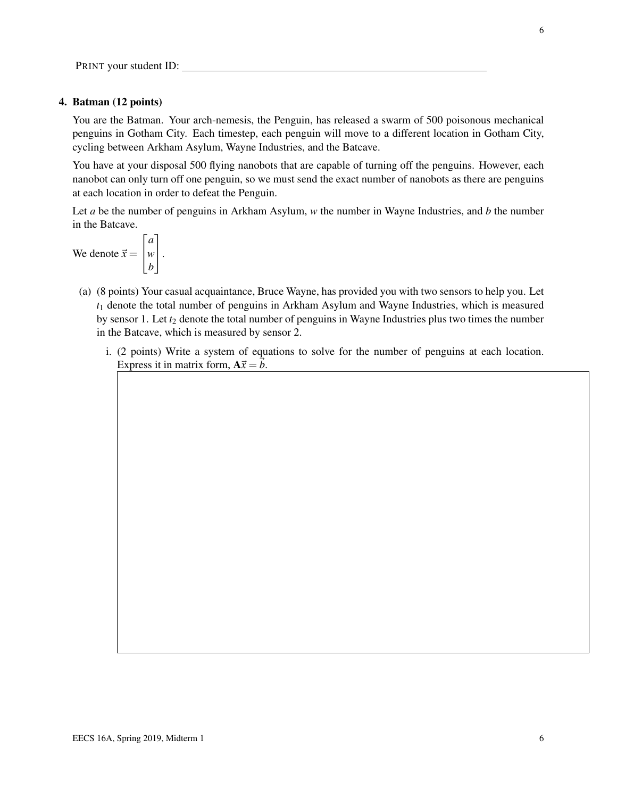#### 4. Batman (12 points)

You are the Batman. Your arch-nemesis, the Penguin, has released a swarm of 500 poisonous mechanical penguins in Gotham City. Each timestep, each penguin will move to a different location in Gotham City, cycling between Arkham Asylum, Wayne Industries, and the Batcave.

You have at your disposal 500 flying nanobots that are capable of turning off the penguins. However, each nanobot can only turn off one penguin, so we must send the exact number of nanobots as there are penguins at each location in order to defeat the Penguin.

Let *a* be the number of penguins in Arkham Asylum, *w* the number in Wayne Industries, and *b* the number in the Batcave.

We denote  $\vec{x} =$  $\sqrt{ }$  $\overline{1}$ *a w b* 1  $\vert \cdot$ 

- (a) (8 points) Your casual acquaintance, Bruce Wayne, has provided you with two sensors to help you. Let *t*<sup>1</sup> denote the total number of penguins in Arkham Asylum and Wayne Industries, which is measured by sensor 1. Let  $t_2$  denote the total number of penguins in Wayne Industries plus two times the number in the Batcave, which is measured by sensor 2.
	- i. (2 points) Write a system of equations to solve for the number of penguins at each location. Express it in matrix form,  $A\vec{x} = \vec{b}$ .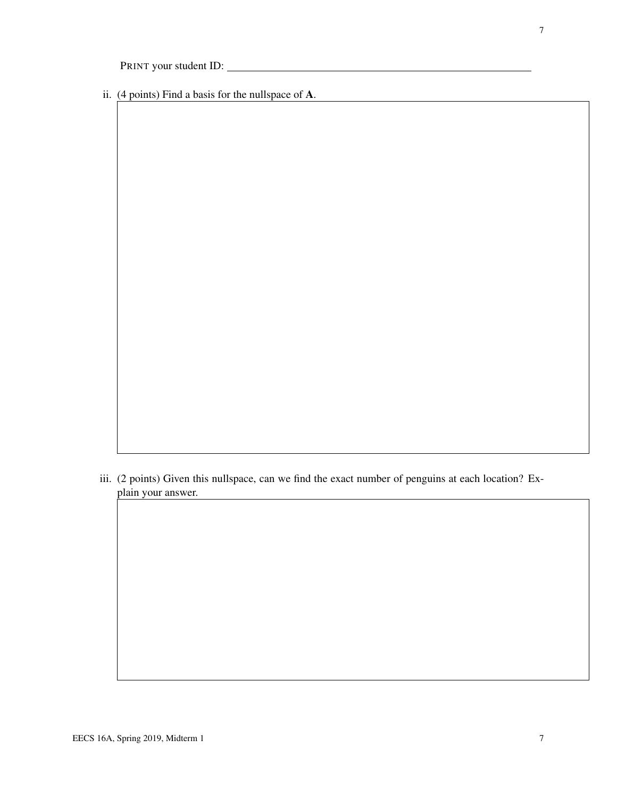ii. (4 points) Find a basis for the nullspace of A.

iii. (2 points) Given this nullspace, can we find the exact number of penguins at each location? Explain your answer.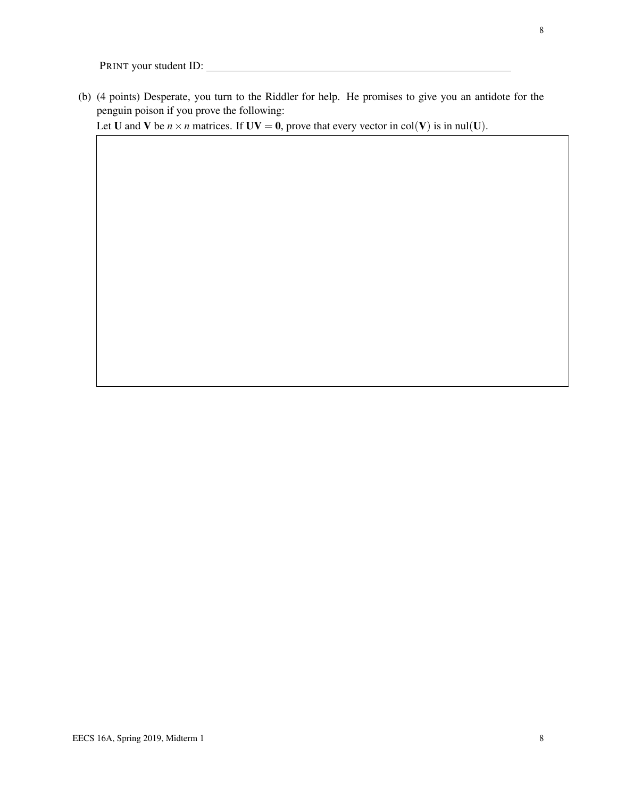(b) (4 points) Desperate, you turn to the Riddler for help. He promises to give you an antidote for the penguin poison if you prove the following:

Let **U** and **V** be  $n \times n$  matrices. If  $UV = 0$ , prove that every vector in col(**V**) is in nul(**U**).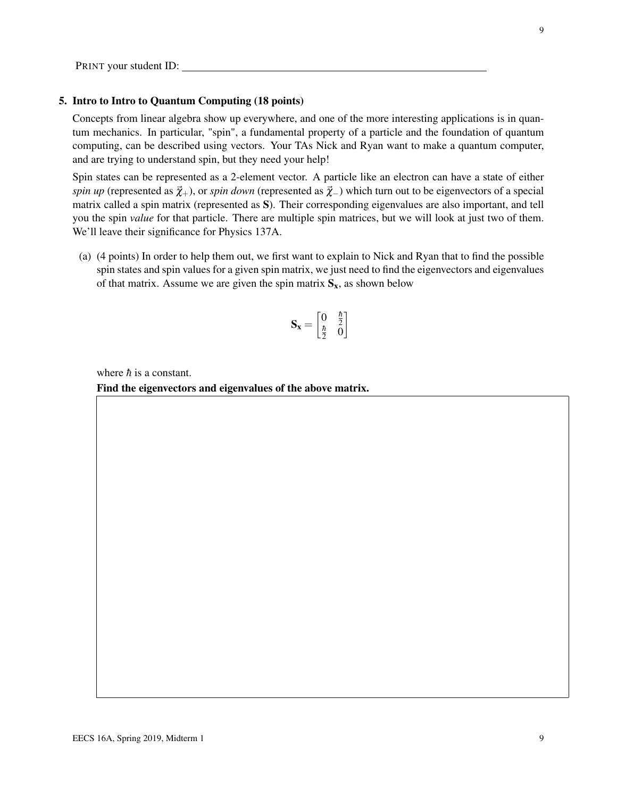#### 5. Intro to Intro to Quantum Computing (18 points)

Concepts from linear algebra show up everywhere, and one of the more interesting applications is in quantum mechanics. In particular, "spin", a fundamental property of a particle and the foundation of quantum computing, can be described using vectors. Your TAs Nick and Ryan want to make a quantum computer, and are trying to understand spin, but they need your help!

Spin states can be represented as a 2-element vector. A particle like an electron can have a state of either *spin up* (represented as  $\vec{\chi}_+$ ), or *spin down* (represented as  $\vec{\chi}_-$ ) which turn out to be eigenvectors of a special matrix called a spin matrix (represented as S). Their corresponding eigenvalues are also important, and tell you the spin *value* for that particle. There are multiple spin matrices, but we will look at just two of them. We'll leave their significance for Physics 137A.

(a) (4 points) In order to help them out, we first want to explain to Nick and Ryan that to find the possible spin states and spin values for a given spin matrix, we just need to find the eigenvectors and eigenvalues of that matrix. Assume we are given the spin matrix  $S_x$ , as shown below

$$
\mathbf{S_x} = \begin{bmatrix} 0 & \frac{\hbar}{2} \\ \frac{\hbar}{2} & 0 \end{bmatrix}
$$

where  $\hbar$  is a constant.

Find the eigenvectors and eigenvalues of the above matrix.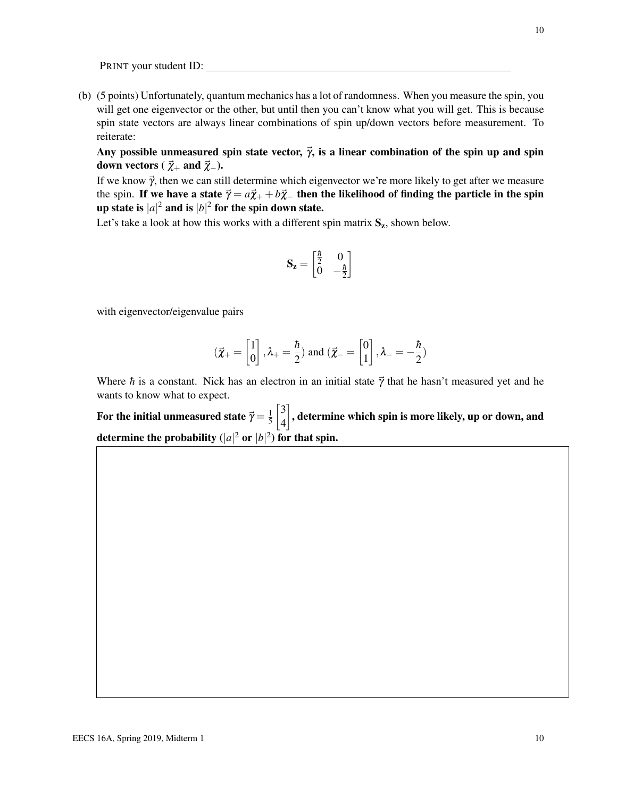(b) (5 points) Unfortunately, quantum mechanics has a lot of randomness. When you measure the spin, you will get one eigenvector or the other, but until then you can't know what you will get. This is because spin state vectors are always linear combinations of spin up/down vectors before measurement. To reiterate:

Any possible unmeasured spin state vector,  $\vec{\gamma}$ , is a linear combination of the spin up and spin down vectors ( $\vec{\chi}_+$  and  $\vec{\chi}_-$ ).

If we know  $\vec{\gamma}$ , then we can still determine which eigenvector we're more likely to get after we measure the spin. If we have a state  $\vec{\gamma} = a\vec{\chi}_+ + b\vec{\chi}_-$  then the likelihood of finding the particle in the spin up state is  $|a|^2$  and is  $|b|^2$  for the spin down state.

Let's take a look at how this works with a different spin matrix  $S_z$ , shown below.

$$
\mathbf{S}_{\mathbf{z}} = \begin{bmatrix} \frac{\hbar}{2} & 0 \\ 0 & -\frac{\hbar}{2} \end{bmatrix}
$$

with eigenvector/eigenvalue pairs

$$
(\vec{\chi}_{+} = \begin{bmatrix} 1 \\ 0 \end{bmatrix}, \lambda_{+} = \frac{\hbar}{2})
$$
 and  $(\vec{\chi}_{-} = \begin{bmatrix} 0 \\ 1 \end{bmatrix}, \lambda_{-} = -\frac{\hbar}{2})$ 

Where  $\hbar$  is a constant. Nick has an electron in an initial state  $\vec{\gamma}$  that he hasn't measured yet and he wants to know what to expect.

For the initial unmeasured state  $\vec{\gamma} = \frac{1}{5}$ 5  $\sqrt{3}$ 4  $\rceil$ , determine which spin is more likely, up or down, and determine the probability  $(|a|^2 \text{ or } |b|^2)$  for that spin.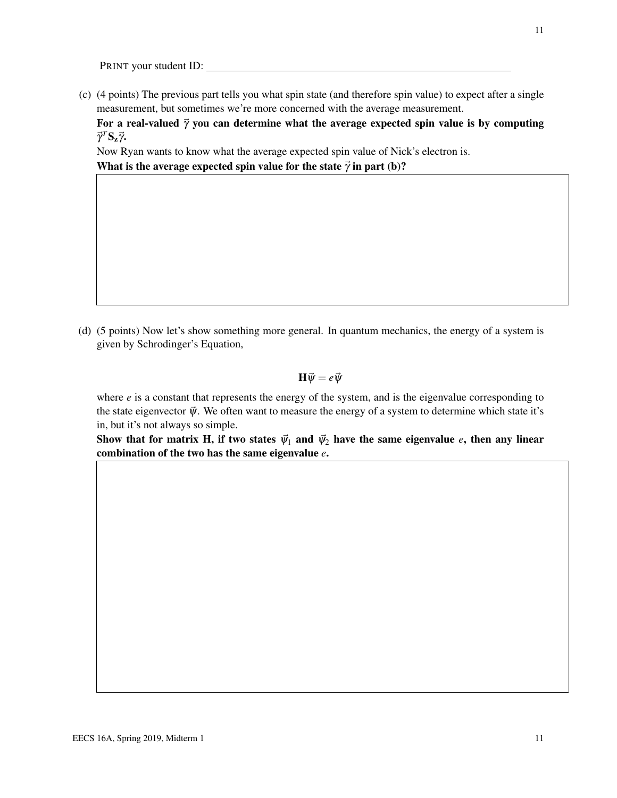(c) (4 points) The previous part tells you what spin state (and therefore spin value) to expect after a single measurement, but sometimes we're more concerned with the average measurement.

For a real-valued  $\vec{\gamma}$  you can determine what the average expected spin value is by computing  $\vec{\gamma}^T$ S<sub>z</sub> $\vec{\gamma}$ .

Now Ryan wants to know what the average expected spin value of Nick's electron is.

What is the average expected spin value for the state  $\vec{\gamma}$  in part (b)?

(d) (5 points) Now let's show something more general. In quantum mechanics, the energy of a system is given by Schrodinger's Equation,

 $H \vec{\psi} = e \vec{\psi}$ 

where  $e$  is a constant that represents the energy of the system, and is the eigenvalue corresponding to the state eigenvector  $\vec{\psi}$ . We often want to measure the energy of a system to determine which state it's in, but it's not always so simple.

Show that for matrix H, if two states  $\vec{\psi}_1$  and  $\vec{\psi}_2$  have the same eigenvalue *e*, then any linear combination of the two has the same eigenvalue *e*.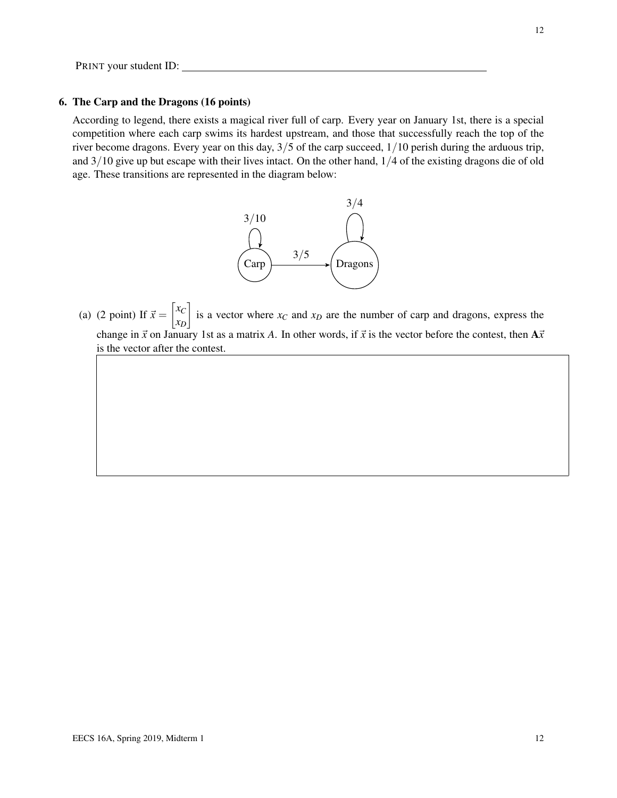#### 6. The Carp and the Dragons (16 points)

According to legend, there exists a magical river full of carp. Every year on January 1st, there is a special competition where each carp swims its hardest upstream, and those that successfully reach the top of the river become dragons. Every year on this day, 3/5 of the carp succeed, 1/10 perish during the arduous trip, and 3/10 give up but escape with their lives intact. On the other hand, 1/4 of the existing dragons die of old age. These transitions are represented in the diagram below:



(a) (2 point) If  $\vec{x} = \begin{bmatrix} x_C \\ x_C \end{bmatrix}$ *xD* is a vector where  $x_C$  and  $x_D$  are the number of carp and dragons, express the change in  $\vec{x}$  on January 1st as a matrix *A*. In other words, if  $\vec{x}$  is the vector before the contest, then  $A\vec{x}$ is the vector after the contest.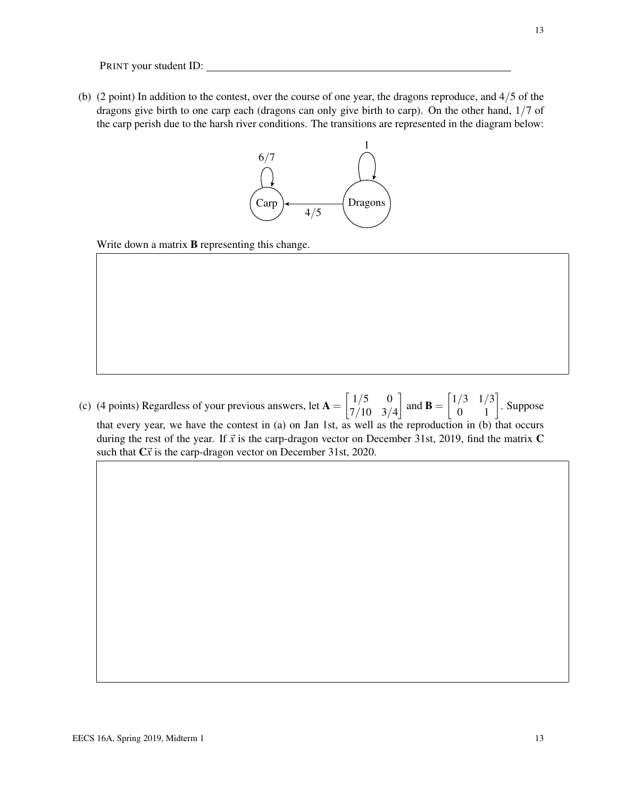(b) (2 point) In addition to the contest, over the course of one year, the dragons reproduce, and 4/5 of the dragons give birth to one carp each (dragons can only give birth to carp). On the other hand, 1/7 of the carp perish due to the harsh river conditions. The transitions are represented in the diagram below:



Write down a matrix **B** representing this change.

(c) (4 points) Regardless of your previous answers, let  $A = \begin{bmatrix} 1/5 & 0 \\ 7/10 & 2 \end{bmatrix}$ 7/10 3/4 and **B** =  $\begin{bmatrix} 1/3 & 1/3 \\ 0 & 1 \end{bmatrix}$ . Suppose that every year, we have the contest in (a) on Jan 1st, as well as the reproduction in (b) that occurs during the rest of the year. If  $\vec{x}$  is the carp-dragon vector on December 31st, 2019, find the matrix  $\vec{C}$ such that  $C\vec{x}$  is the carp-dragon vector on December 31st, 2020.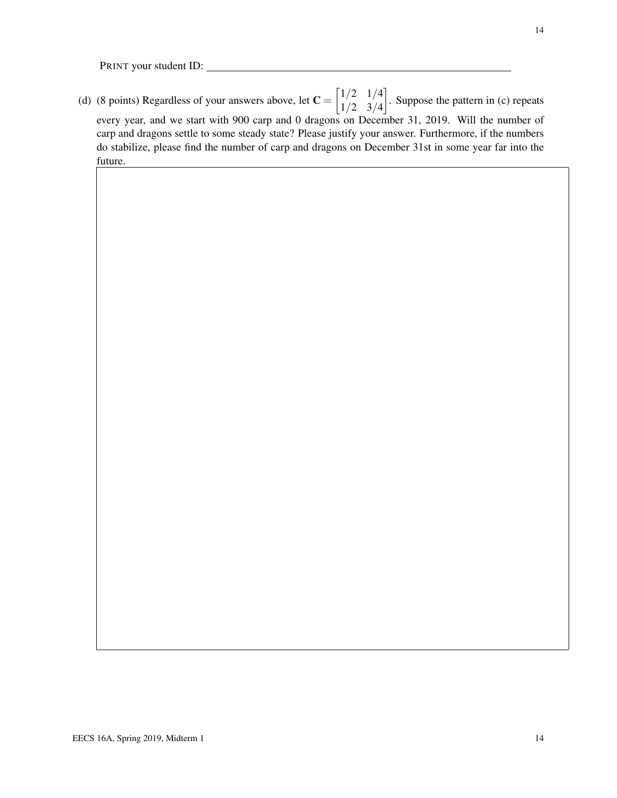(d) (8 points) Regardless of your answers above, let  $C = \begin{bmatrix} 1/2 & 1/4 \\ 1/2 & 2/4 \end{bmatrix}$ 1/2 3/4 . Suppose the pattern in (c) repeats every year, and we start with 900 carp and 0 dragons on December 31, 2019. Will the number of carp and dragons settle to some steady state? Please justify your answer. Furthermore, if the numbers do stabilize, please find the number of carp and dragons on December 31st in some year far into the future.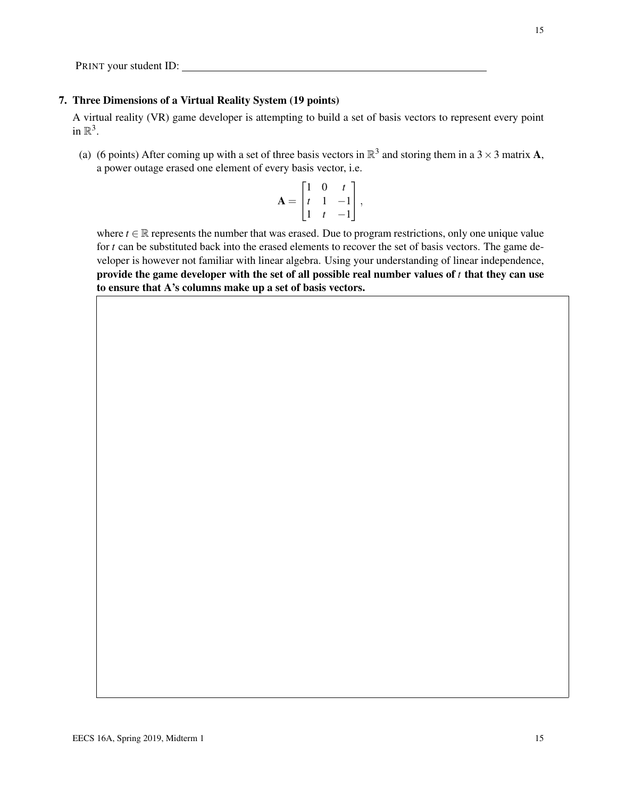#### 7. Three Dimensions of a Virtual Reality System (19 points)

A virtual reality (VR) game developer is attempting to build a set of basis vectors to represent every point in  $\mathbb{R}^3$ .

(a) (6 points) After coming up with a set of three basis vectors in  $\mathbb{R}^3$  and storing them in a 3  $\times$  3 matrix **A**, a power outage erased one element of every basis vector, i.e.

$$
\mathbf{A} = \begin{bmatrix} 1 & 0 & t \\ t & 1 & -1 \\ 1 & t & -1 \end{bmatrix},
$$

where  $t \in \mathbb{R}$  represents the number that was erased. Due to program restrictions, only one unique value for *t* can be substituted back into the erased elements to recover the set of basis vectors. The game developer is however not familiar with linear algebra. Using your understanding of linear independence, provide the game developer with the set of all possible real number values of *t* that they can use to ensure that A's columns make up a set of basis vectors.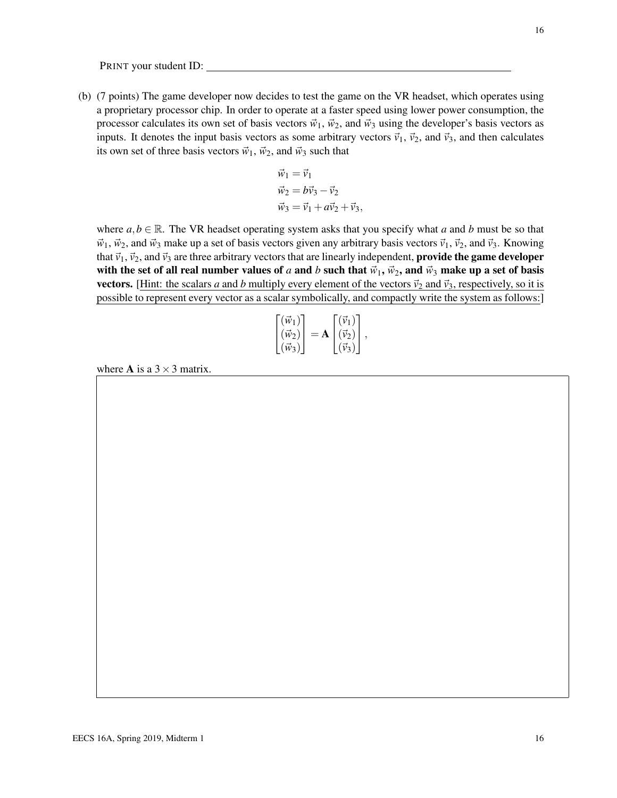(b) (7 points) The game developer now decides to test the game on the VR headset, which operates using a proprietary processor chip. In order to operate at a faster speed using lower power consumption, the processor calculates its own set of basis vectors  $\vec{w}_1$ ,  $\vec{w}_2$ , and  $\vec{w}_3$  using the developer's basis vectors as inputs. It denotes the input basis vectors as some arbitrary vectors  $\vec{v}_1$ ,  $\vec{v}_2$ , and  $\vec{v}_3$ , and then calculates its own set of three basis vectors  $\vec{w}_1$ ,  $\vec{w}_2$ , and  $\vec{w}_3$  such that

$$
\vec{w}_1 = \vec{v}_1
$$
  
\n
$$
\vec{w}_2 = b\vec{v}_3 - \vec{v}_2
$$
  
\n
$$
\vec{w}_3 = \vec{v}_1 + a\vec{v}_2 + \vec{v}_3,
$$

where  $a, b \in \mathbb{R}$ . The VR headset operating system asks that you specify what *a* and *b* must be so that  $\vec{w}_1$ ,  $\vec{w}_2$ , and  $\vec{w}_3$  make up a set of basis vectors given any arbitrary basis vectors  $\vec{v}_1$ ,  $\vec{v}_2$ , and  $\vec{v}_3$ . Knowing that  $\vec{v}_1$ ,  $\vec{v}_2$ , and  $\vec{v}_3$  are three arbitrary vectors that are linearly independent, **provide the game developer** with the set of all real number values of *a* and *b* such that  $\vec{w}_1$ ,  $\vec{w}_2$ , and  $\vec{w}_3$  make up a set of basis vectors. [Hint: the scalars *a* and *b* multiply every element of the vectors  $\vec{v}_2$  and  $\vec{v}_3$ , respectively, so it is possible to represent every vector as a scalar symbolically, and compactly write the system as follows:]

$$
\begin{bmatrix}\n(\vec{w}_1) \\
(\vec{w}_2) \\
(\vec{w}_3)\n\end{bmatrix} = \mathbf{A} \begin{bmatrix}\n(\vec{v}_1) \\
(\vec{v}_2) \\
(\vec{v}_3)\n\end{bmatrix},
$$

where **A** is a  $3 \times 3$  matrix.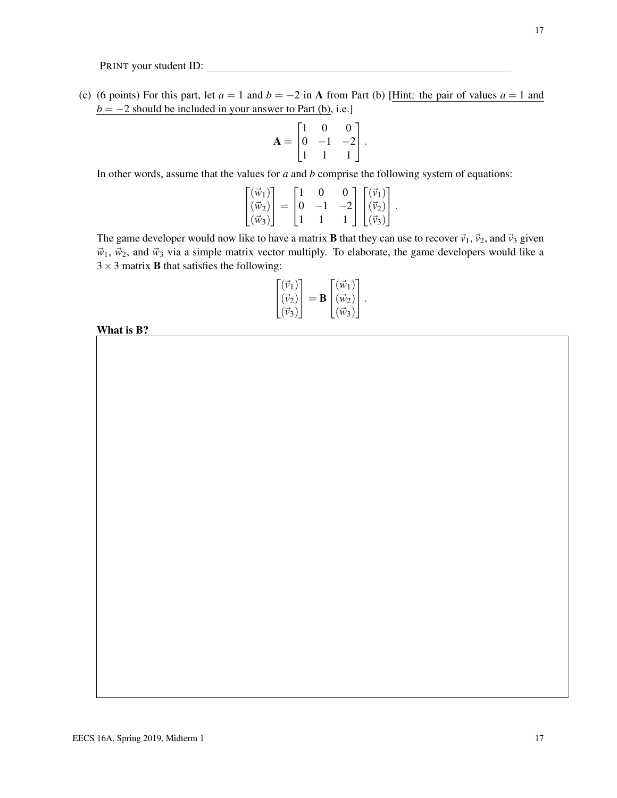(c) (6 points) For this part, let  $a = 1$  and  $b = -2$  in A from Part (b) [Hint: the pair of values  $a = 1$  and  $b = -2$  should be included in your answer to Part (b), i.e.]

$$
\mathbf{A} = \begin{bmatrix} 1 & 0 & 0 \\ 0 & -1 & -2 \\ 1 & 1 & 1 \end{bmatrix}.
$$

In other words, assume that the values for *a* and *b* comprise the following system of equations:

$$
\begin{bmatrix}\n(\vec{w}_1) \\
(\vec{w}_2) \\
(\vec{w}_3)\n\end{bmatrix} =\n\begin{bmatrix}\n1 & 0 & 0 \\
0 & -1 & -2 \\
1 & 1 & 1\n\end{bmatrix}\n\begin{bmatrix}\n(\vec{v}_1) \\
(\vec{v}_2) \\
(\vec{v}_3)\n\end{bmatrix}.
$$

The game developer would now like to have a matrix **B** that they can use to recover  $\vec{v}_1$ ,  $\vec{v}_2$ , and  $\vec{v}_3$  given  $\vec{w}_1$ ,  $\vec{w}_2$ , and  $\vec{w}_3$  via a simple matrix vector multiply. To elaborate, the game developers would like a  $3 \times 3$  matrix **B** that satisfies the following:

$$
\begin{bmatrix}\n(\vec{v}_1) \\
(\vec{v}_2) \\
(\vec{v}_3)\n\end{bmatrix} = \mathbf{B} \begin{bmatrix}\n(\vec{w}_1) \\
(\vec{w}_2) \\
(\vec{w}_3)\n\end{bmatrix}.
$$

What is B?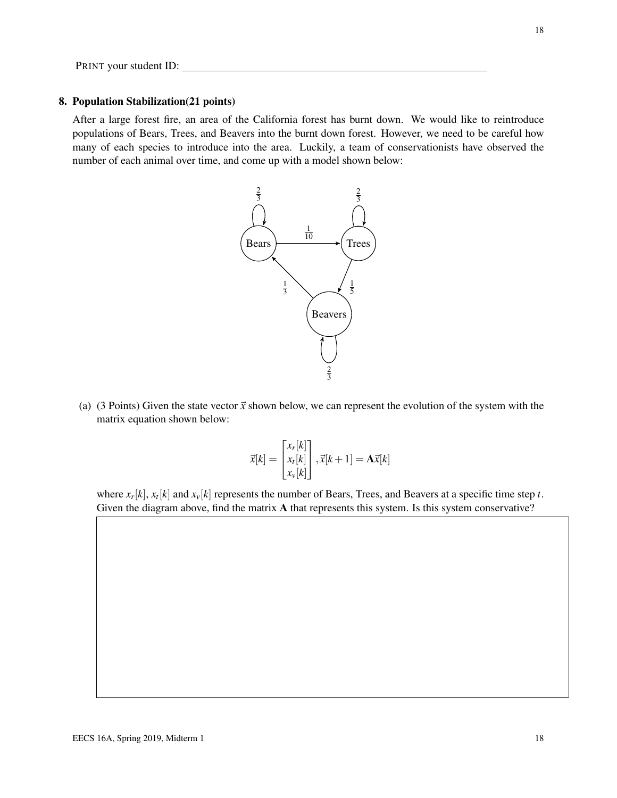#### 8. Population Stabilization(21 points)

After a large forest fire, an area of the California forest has burnt down. We would like to reintroduce populations of Bears, Trees, and Beavers into the burnt down forest. However, we need to be careful how many of each species to introduce into the area. Luckily, a team of conservationists have observed the number of each animal over time, and come up with a model shown below:



(a) (3 Points) Given the state vector  $\vec{x}$  shown below, we can represent the evolution of the system with the matrix equation shown below:

$$
\vec{x}[k] = \begin{bmatrix} x_r[k] \\ x_t[k] \\ x_v[k] \end{bmatrix}, \vec{x}[k+1] = \mathbf{A}\vec{x}[k]
$$

where  $x_r[k], x_t[k]$  and  $x_v[k]$  represents the number of Bears, Trees, and Beavers at a specific time step *t*. Given the diagram above, find the matrix A that represents this system. Is this system conservative?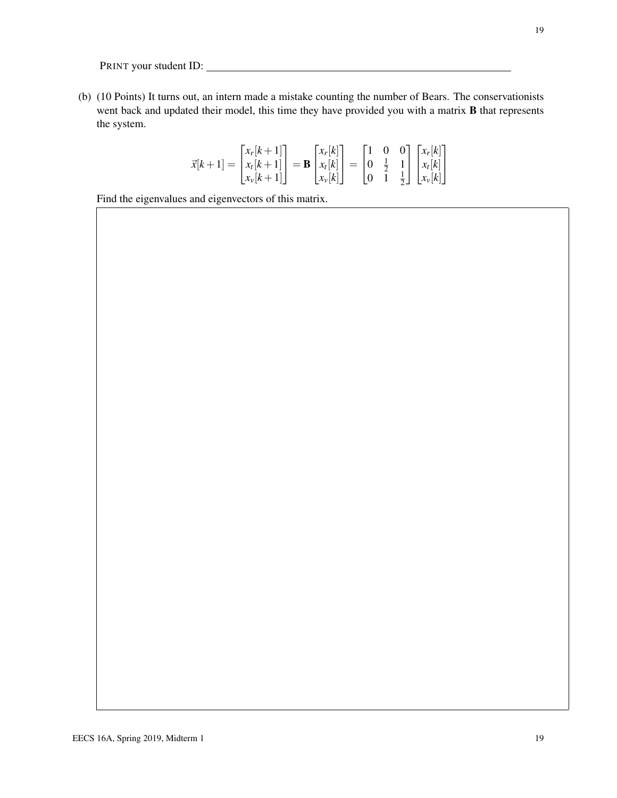(b) (10 Points) It turns out, an intern made a mistake counting the number of Bears. The conservationists went back and updated their model, this time they have provided you with a matrix B that represents the system.

$$
\vec{x}[k+1] = \begin{bmatrix} x_r[k+1] \\ x_l[k+1] \\ x_v[k+1] \end{bmatrix} = \mathbf{B} \begin{bmatrix} x_r[k] \\ x_l[k] \\ x_v[k] \end{bmatrix} = \begin{bmatrix} 1 & 0 & 0 \\ 0 & \frac{1}{2} & 1 \\ 0 & 1 & \frac{1}{2} \end{bmatrix} \begin{bmatrix} x_r[k] \\ x_l[k] \\ x_v[k] \end{bmatrix}
$$

Find the eigenvalues and eigenvectors of this matrix.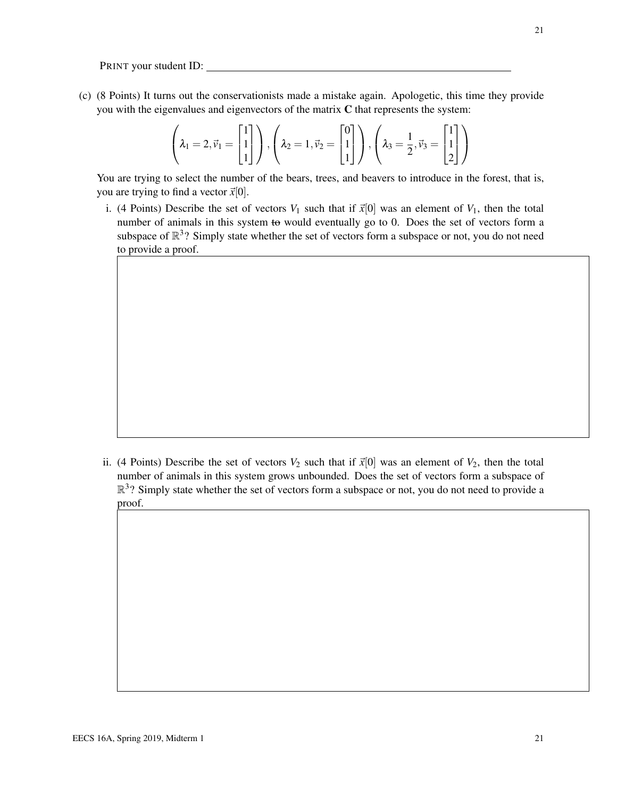(c) (8 Points) It turns out the conservationists made a mistake again. Apologetic, this time they provide you with the eigenvalues and eigenvectors of the matrix C that represents the system:

$$
\left(\lambda_1 = 2, \vec{v}_1 = \begin{bmatrix} 1 \\ 1 \\ 1 \end{bmatrix}\right), \left(\lambda_2 = 1, \vec{v}_2 = \begin{bmatrix} 0 \\ 1 \\ 1 \end{bmatrix}\right), \left(\lambda_3 = \frac{1}{2}, \vec{v}_3 = \begin{bmatrix} 1 \\ 1 \\ 2 \end{bmatrix}\right)
$$

You are trying to select the number of the bears, trees, and beavers to introduce in the forest, that is, you are trying to find a vector  $\vec{x}[0]$ .

i. (4 Points) Describe the set of vectors  $V_1$  such that if  $\vec{x}[0]$  was an element of  $V_1$ , then the total number of animals in this system to would eventually go to 0. Does the set of vectors form a subspace of  $\mathbb{R}^3$ ? Simply state whether the set of vectors form a subspace or not, you do not need to provide a proof.

ii. (4 Points) Describe the set of vectors  $V_2$  such that if  $\vec{x}[0]$  was an element of  $V_2$ , then the total number of animals in this system grows unbounded. Does the set of vectors form a subspace of  $\mathbb{R}^3$ ? Simply state whether the set of vectors form a subspace or not, you do not need to provide a proof.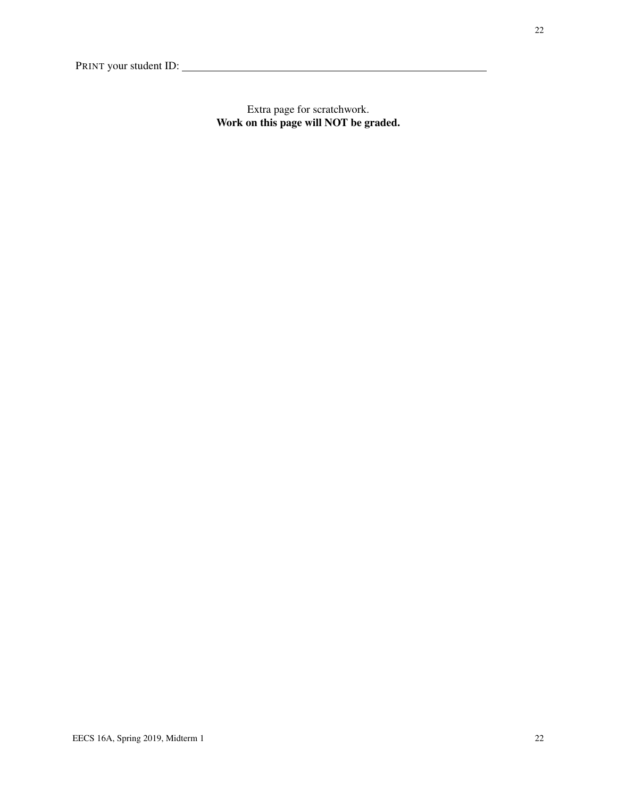Extra page for scratchwork. Work on this page will NOT be graded.